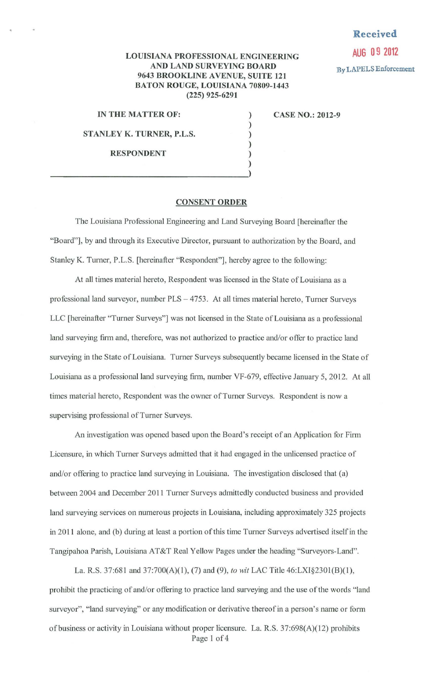## **Received**

By LAPELS Enforcement

## **AUG 0 9 2012** LOUISIANA PROFESSIONAL ENGINEERING AND LAND SURVEYING BOARD 9643 BROOKLINE AVENUE, SUITE 121 BATON ROUGE, LOUISIANA 70809-1443 (225) 925-6291

) ) ) ) )

IN THE MATTER OF:

STANLEY K. TURNER, P.L.S.

RESPONDENT

)  $\frac{1}{2}$ 

CASE NO.: 2012-9

## CONSENT ORDER

The Louisiana Professional Engineering and Land Surveying Board [hereinafter the "Board"], by and through its Executive Director, pursuant to authorization by the Board, and Stanley K. Turner, P.L.S. [hereinafter "Respondent"], hereby agree to the following:

At all times material hereto, Respondent was licensed in the State of Louisiana as a professional land surveyor, number PLS - 4753. At all times material hereto, Turner Surveys LLC [hereinafter "Turner Surveys"] was not licensed in the State of Louisiana as a professional land surveying firm and, therefore, was not authorized to practice and/or offer to practice land surveying in the State of Louisiana. Turner Surveys subsequently became licensed in the State of Louisiana as a professional land surveying firm, number VF-679, effective January 5, 2012. At all times material hereto, Respondent was the owner of Turner Surveys. Respondent is now a supervising professional of Turner Surveys.

An investigation was opened based upon the Board's receipt of an Application for Firm Licensure, in which Turner Surveys admitted that it had engaged in the unlicensed practice of and/or offering to practice land surveying in Louisiana. The investigation disclosed that (a) between 2004 and December 2011 Turner Surveys admittedly conducted business and provided land surveying services on numerous projects in Louisiana, including approximately 325 projects in 2011 alone, and (b) during at least a portion of this time Turner Surveys advertised itself in the Tangipahoa Parish, Louisiana AT&T Real Yellow Pages under the heading "Surveyors-Land".

La. R.S. 37:681 and 37:700(A)(l), (7) and (9), *to wit* LAC Title 46:LXI§230l(B)(l), prohibit the practicing of and/or offering to practice land surveying and the use of the words "land surveyor", "land surveying" or any modification or derivative thereof in a person's name or fonn of business or activity in Louisiana without proper licensure. La. R.S. 37:698(A)(12) prohibits Page 1 of 4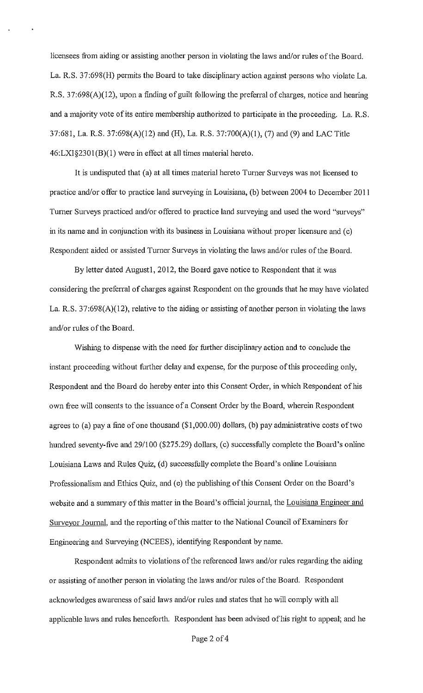licensees from aiding or assisting another person in violating the laws and/or rules of the Board. La. R.S. 37:698(H) permits the Board to take disciplinary action against persons who violate La. R.S. 37:698(A)(12), upon a finding of guilt following the preferral of charges, notice and hearing and a majority vote of its entire membership authorized to participate in the proceeding. La. R.S. 37:681, La. R.S. 37:698(A)(12) and (H), La. R.S. 37:700(A)(l), (7) and (9) and LAC Title 46:LX1§2301 (B)(l) were in effect at all times material hereto.

It is undisputed that (a) at all times material hereto Turner Surveys was not licensed to practice and/or offer to practice land surveying in Louisiana, (b) between 2004 to December 2011 Turner Surveys practiced and/or offered to practice land surveying and used the word "surveys" in its name and in conjunction with its business in Louisiana without proper licensure and (c) Respondent aided or assisted Turner Surveys in violating the laws and/or rules of the Board.

By letter dated August1, 2012, the Board gave notice to Respondent that it was considering the preferral of charges against Respondent on the grounds that he may have violated La. R.S. 37:698(A)(12), relative to the aiding or assisting of another person in violating the laws and/or rules of the Board.

Wishing to dispense with the need for finther disciplinary action and to conclude the instant proceeding without further delay and expense, for the purpose of this proceeding only, Respondent and the Board do hereby enter into this Consent Order, in which Respondent of his own free will consents to the issuance of a Consent Order by the Board, wherein Respondent agrees to (a) pay a fine of one thousand (\$1,000.00) dollars, (b) pay administrative costs of two hundred seventy-five and 29/100 (\$275.29) dollars, (c) successfully complete the Board's online Louisiana Laws and Rules Quiz, (d) successfully complete the Board's online Louisiana Professionalism and Ethics Quiz, and (e) the publishing of this Consent Order on the Board's website and a summary of this matter in the Board's official journal, the Louisiana Engineer and Surveyor Journal, and the reporting of this matter to the National Council of Examiners for Engineering and Surveying (NCEES), identifying Respondent by name.

Respondent admits to violations of the referenced laws and/or rules regarding the aiding or assisting of another person in violating the laws and/or rules of the Board. Respondent acknowledges awareness of said laws and/or rules and states that he will comply with all applicable laws and rules henceforth. Respondent has been advised of his right to appeal; and he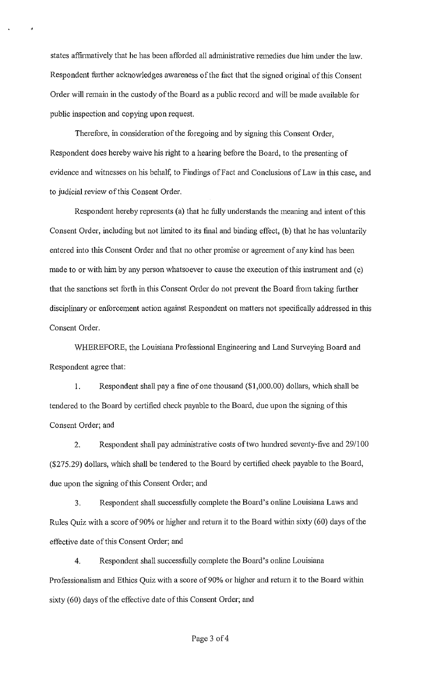states affirmatively that he has been afforded all administrative remedies due him under the law. Respondent further acknowledges awareness of the fact that the signed original of this Consent Order will remain in the custody of the Board as a public record and will be made available for public inspection and copying upon request.

Therefore, in consideration of the foregoing and by signing this Consent Order, Respondent does hereby waive his right to a hearing before the Board, to the presenting of evidence and witnesses on his behalf, to Findings of Fact and Conclusions of Law in this case, and to judicial review of this Consent Order.

Respondent hereby represents (a) that he fully understands the meaning and intent of this Consent Order, including but not limited to its final and binding effect, (b) that he has voluntarily entered into this Consent Order and that no other promise or agreement of any kind has been made to or with him by any person whatsoever to cause the execution of this instrument and (c) that the sanctions set forth in this Consent Order do not prevent the Board from taking further disciplinary or enforcement action against Respondent on matters not specifically addressed in this Consent Order.

WHEREFORE, the Louisiana Professional Engineering and Land Surveying Board and Respondent agree that:

I. Respondent shall pay a fine of one thousand (\$1,000.00) dollars, which shall be tendered to the Board by certified check payable to the Board, due upon the signing of this Consent Order; and

2. Respondent shall pay administrative costs of two hundred seventy-five and 29/100 (\$275.29) dollars, which shall be tendered to the Board by certified check payable to the Board, due upon the signing of this Consent Order; and

3. Respondent shall successfully complete the Board's online Louisiana Laws and Rules Quiz with a score of 90% or higher and return it to the Board within sixty (60) days of the effective date of this Consent Order; and

4. Respondent shall successfully complete the Board's online Louisiana Professionalism and Ethics Quiz with a score of 90% or higher and return it to the Board within sixty (60) days of the effective date of this Consent Order; and